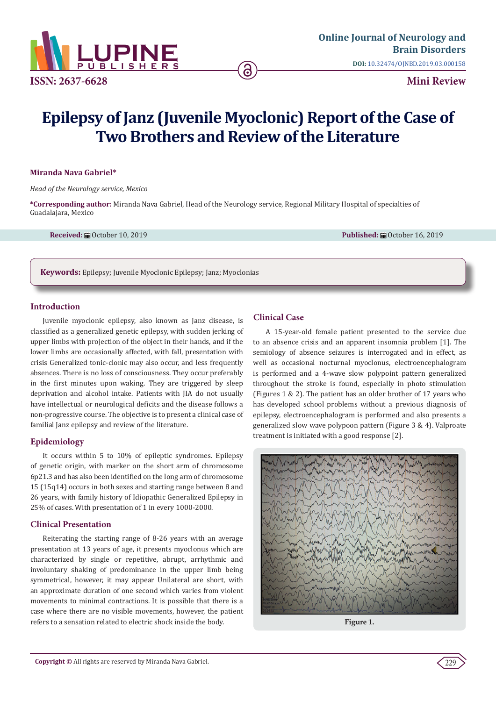

# **Epilepsy of Janz (Juvenile Myoclonic) Report of the Case of Two Brothers and Review of the Literature**

#### **Miranda Nava Gabriel\***

*Head of the Neurology service, Mexico*

**\*Corresponding author:** Miranda Nava Gabriel, Head of the Neurology service, Regional Military Hospital of specialties of Guadalajara, Mexico

**Received:** ■ October 10, 2019 **Published:** ■ October 16, 2019 **Published:** ■ October 16, 2019

**Keywords:** Epilepsy; Juvenile Myoclonic Epilepsy; Janz; Myoclonias

#### **Introduction**

Juvenile myoclonic epilepsy, also known as Janz disease, is classified as a generalized genetic epilepsy, with sudden jerking of upper limbs with projection of the object in their hands, and if the lower limbs are occasionally affected, with fall, presentation with crisis Generalized tonic-clonic may also occur, and less frequently absences. There is no loss of consciousness. They occur preferably in the first minutes upon waking. They are triggered by sleep deprivation and alcohol intake. Patients with JIA do not usually have intellectual or neurological deficits and the disease follows a non-progressive course. The objective is to present a clinical case of familial Janz epilepsy and review of the literature.

## **Epidemiology**

It occurs within 5 to 10% of epileptic syndromes. Epilepsy of genetic origin, with marker on the short arm of chromosome 6p21.3 and has also been identified on the long arm of chromosome 15 (15q14) occurs in both sexes and starting range between 8 and 26 years, with family history of Idiopathic Generalized Epilepsy in 25% of cases. With presentation of 1 in every 1000-2000.

## **Clinical Presentation**

Reiterating the starting range of 8-26 years with an average presentation at 13 years of age, it presents myoclonus which are characterized by single or repetitive, abrupt, arrhythmic and involuntary shaking of predominance in the upper limb being symmetrical, however, it may appear Unilateral are short, with an approximate duration of one second which varies from violent movements to minimal contractions. It is possible that there is a case where there are no visible movements, however, the patient refers to a sensation related to electric shock inside the body.

# **Clinical Case**

A 15-year-old female patient presented to the service due to an absence crisis and an apparent insomnia problem [1]. The semiology of absence seizures is interrogated and in effect, as well as occasional nocturnal myoclonus, electroencephalogram is performed and a 4-wave slow polypoint pattern generalized throughout the stroke is found, especially in photo stimulation (Figures 1 & 2). The patient has an older brother of 17 years who has developed school problems without a previous diagnosis of epilepsy, electroencephalogram is performed and also presents a generalized slow wave polypoon pattern (Figure 3 & 4). Valproate treatment is initiated with a good response [2].



**Figure 1.**

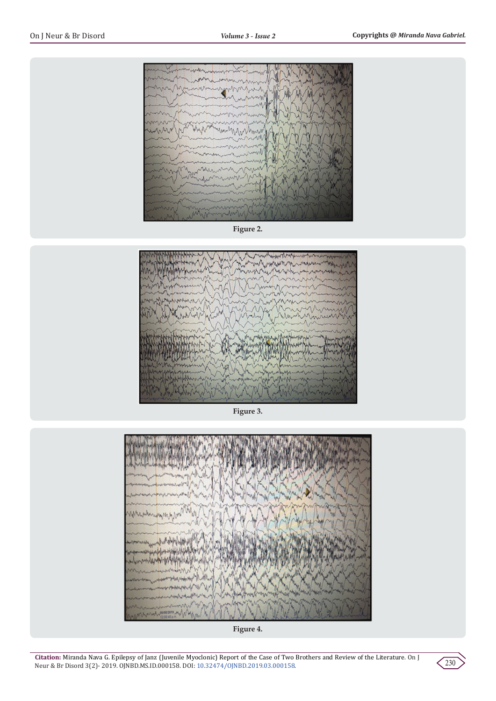

**Figure 2.**



**Figure 3.**





**Citation:** Miranda Nava G. Epilepsy of Janz (Juvenile Myoclonic) Report of the Case of Two Brothers and Review of the Literature. On J Neur & Br Disord 3(2)- 2019. OJNBD.MS.ID.000158. DOI: [10.32474/OJNBD.2019.03.000158](http://dx.doi.org/10.32474/OJNBD.2019.03.000158).